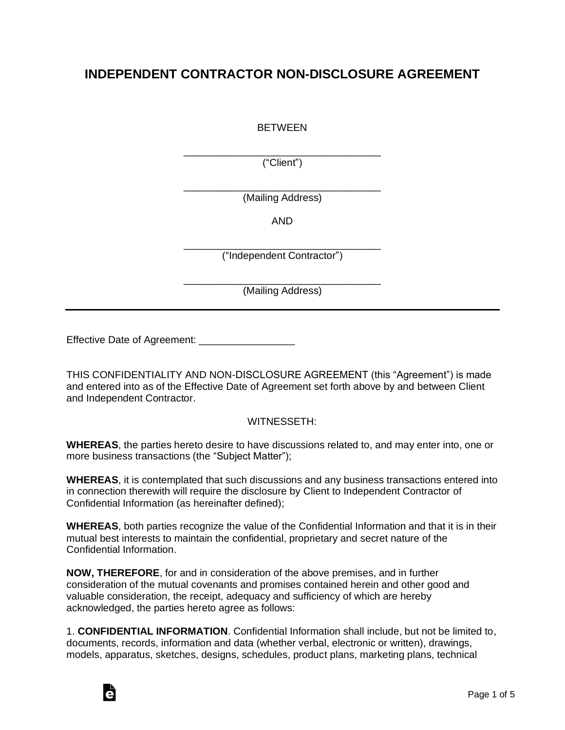## **INDEPENDENT CONTRACTOR NON-DISCLOSURE AGREEMENT**

BETWEEN

\_\_\_\_\_\_\_\_\_\_\_\_\_\_\_\_\_\_\_\_\_\_\_\_\_\_\_\_\_\_\_\_\_\_\_ ("Client")

\_\_\_\_\_\_\_\_\_\_\_\_\_\_\_\_\_\_\_\_\_\_\_\_\_\_\_\_\_\_\_\_\_\_\_ (Mailing Address)

AND

\_\_\_\_\_\_\_\_\_\_\_\_\_\_\_\_\_\_\_\_\_\_\_\_\_\_\_\_\_\_\_\_\_\_\_ ("Independent Contractor")

\_\_\_\_\_\_\_\_\_\_\_\_\_\_\_\_\_\_\_\_\_\_\_\_\_\_\_\_\_\_\_\_\_\_\_ (Mailing Address)

Effective Date of Agreement: \_\_\_\_\_\_\_\_\_\_\_\_\_

THIS CONFIDENTIALITY AND NON-DISCLOSURE AGREEMENT (this "Agreement") is made and entered into as of the Effective Date of Agreement set forth above by and between Client and Independent Contractor.

## WITNESSETH:

**WHEREAS**, the parties hereto desire to have discussions related to, and may enter into, one or more business transactions (the "Subject Matter");

**WHEREAS**, it is contemplated that such discussions and any business transactions entered into in connection therewith will require the disclosure by Client to Independent Contractor of Confidential Information (as hereinafter defined);

**WHEREAS**, both parties recognize the value of the Confidential Information and that it is in their mutual best interests to maintain the confidential, proprietary and secret nature of the Confidential Information.

**NOW, THEREFORE**, for and in consideration of the above premises, and in further consideration of the mutual covenants and promises contained herein and other good and valuable consideration, the receipt, adequacy and sufficiency of which are hereby acknowledged, the parties hereto agree as follows:

1. **CONFIDENTIAL INFORMATION**. Confidential Information shall include, but not be limited to, documents, records, information and data (whether verbal, electronic or written), drawings, models, apparatus, sketches, designs, schedules, product plans, marketing plans, technical

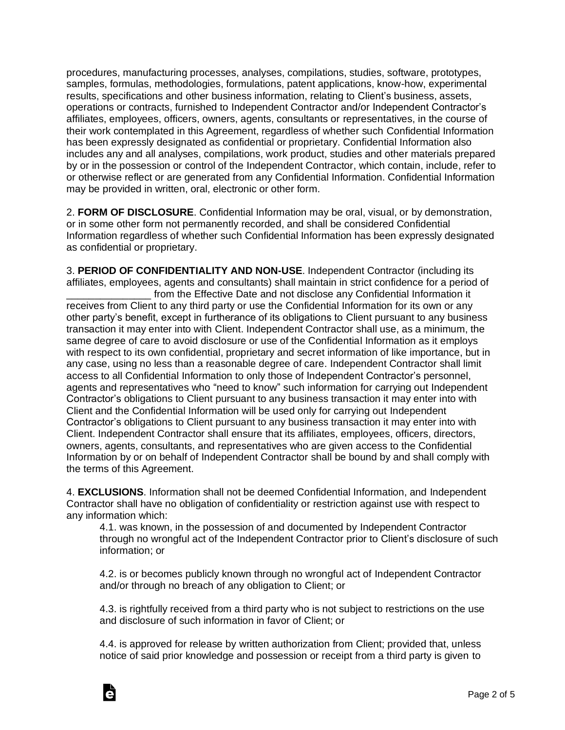procedures, manufacturing processes, analyses, compilations, studies, software, prototypes, samples, formulas, methodologies, formulations, patent applications, know-how, experimental results, specifications and other business information, relating to Client's business, assets, operations or contracts, furnished to Independent Contractor and/or Independent Contractor's affiliates, employees, officers, owners, agents, consultants or representatives, in the course of their work contemplated in this Agreement, regardless of whether such Confidential Information has been expressly designated as confidential or proprietary. Confidential Information also includes any and all analyses, compilations, work product, studies and other materials prepared by or in the possession or control of the Independent Contractor, which contain, include, refer to or otherwise reflect or are generated from any Confidential Information. Confidential Information may be provided in written, oral, electronic or other form.

2. **FORM OF DISCLOSURE**. Confidential Information may be oral, visual, or by demonstration, or in some other form not permanently recorded, and shall be considered Confidential Information regardless of whether such Confidential Information has been expressly designated as confidential or proprietary.

3. **PERIOD OF CONFIDENTIALITY AND NON-USE**. Independent Contractor (including its affiliates, employees, agents and consultants) shall maintain in strict confidence for a period of from the Effective Date and not disclose any Confidential Information it receives from Client to any third party or use the Confidential Information for its own or any other party's benefit, except in furtherance of its obligations to Client pursuant to any business transaction it may enter into with Client. Independent Contractor shall use, as a minimum, the same degree of care to avoid disclosure or use of the Confidential Information as it employs with respect to its own confidential, proprietary and secret information of like importance, but in any case, using no less than a reasonable degree of care. Independent Contractor shall limit access to all Confidential Information to only those of Independent Contractor's personnel, agents and representatives who "need to know" such information for carrying out Independent Contractor's obligations to Client pursuant to any business transaction it may enter into with Client and the Confidential Information will be used only for carrying out Independent Contractor's obligations to Client pursuant to any business transaction it may enter into with Client. Independent Contractor shall ensure that its affiliates, employees, officers, directors, owners, agents, consultants, and representatives who are given access to the Confidential Information by or on behalf of Independent Contractor shall be bound by and shall comply with the terms of this Agreement.

4. **EXCLUSIONS**. Information shall not be deemed Confidential Information, and Independent Contractor shall have no obligation of confidentiality or restriction against use with respect to any information which:

4.1. was known, in the possession of and documented by Independent Contractor through no wrongful act of the Independent Contractor prior to Client's disclosure of such information; or

4.2. is or becomes publicly known through no wrongful act of Independent Contractor and/or through no breach of any obligation to Client; or

4.3. is rightfully received from a third party who is not subject to restrictions on the use and disclosure of such information in favor of Client; or

4.4. is approved for release by written authorization from Client; provided that, unless notice of said prior knowledge and possession or receipt from a third party is given to

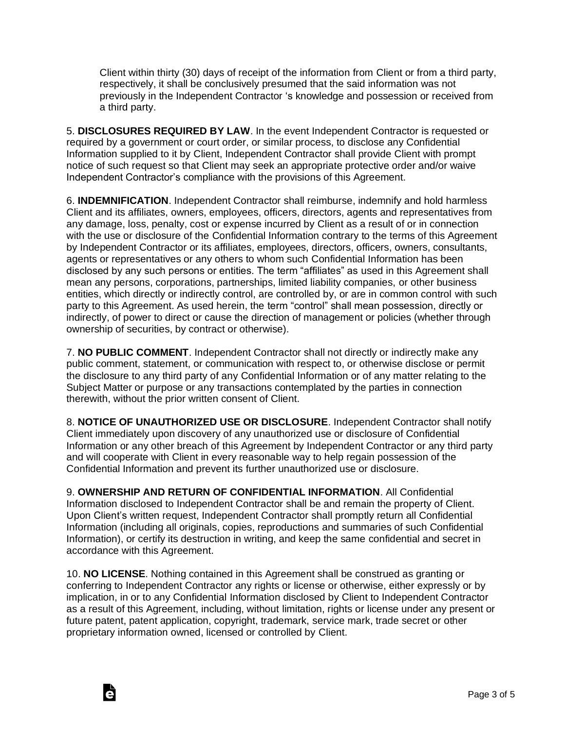Client within thirty (30) days of receipt of the information from Client or from a third party, respectively, it shall be conclusively presumed that the said information was not previously in the Independent Contractor 's knowledge and possession or received from a third party.

5. **DISCLOSURES REQUIRED BY LAW**. In the event Independent Contractor is requested or required by a government or court order, or similar process, to disclose any Confidential Information supplied to it by Client, Independent Contractor shall provide Client with prompt notice of such request so that Client may seek an appropriate protective order and/or waive Independent Contractor's compliance with the provisions of this Agreement.

6. **INDEMNIFICATION**. Independent Contractor shall reimburse, indemnify and hold harmless Client and its affiliates, owners, employees, officers, directors, agents and representatives from any damage, loss, penalty, cost or expense incurred by Client as a result of or in connection with the use or disclosure of the Confidential Information contrary to the terms of this Agreement by Independent Contractor or its affiliates, employees, directors, officers, owners, consultants, agents or representatives or any others to whom such Confidential Information has been disclosed by any such persons or entities. The term "affiliates" as used in this Agreement shall mean any persons, corporations, partnerships, limited liability companies, or other business entities, which directly or indirectly control, are controlled by, or are in common control with such party to this Agreement. As used herein, the term "control" shall mean possession, directly or indirectly, of power to direct or cause the direction of management or policies (whether through ownership of securities, by contract or otherwise).

7. **NO PUBLIC COMMENT**. Independent Contractor shall not directly or indirectly make any public comment, statement, or communication with respect to, or otherwise disclose or permit the disclosure to any third party of any Confidential Information or of any matter relating to the Subject Matter or purpose or any transactions contemplated by the parties in connection therewith, without the prior written consent of Client.

8. **NOTICE OF UNAUTHORIZED USE OR DISCLOSURE**. Independent Contractor shall notify Client immediately upon discovery of any unauthorized use or disclosure of Confidential Information or any other breach of this Agreement by Independent Contractor or any third party and will cooperate with Client in every reasonable way to help regain possession of the Confidential Information and prevent its further unauthorized use or disclosure.

9. **OWNERSHIP AND RETURN OF CONFIDENTIAL INFORMATION**. All Confidential Information disclosed to Independent Contractor shall be and remain the property of Client. Upon Client's written request, Independent Contractor shall promptly return all Confidential Information (including all originals, copies, reproductions and summaries of such Confidential Information), or certify its destruction in writing, and keep the same confidential and secret in accordance with this Agreement.

10. **NO LICENSE**. Nothing contained in this Agreement shall be construed as granting or conferring to Independent Contractor any rights or license or otherwise, either expressly or by implication, in or to any Confidential Information disclosed by Client to Independent Contractor as a result of this Agreement, including, without limitation, rights or license under any present or future patent, patent application, copyright, trademark, service mark, trade secret or other proprietary information owned, licensed or controlled by Client.

Ġ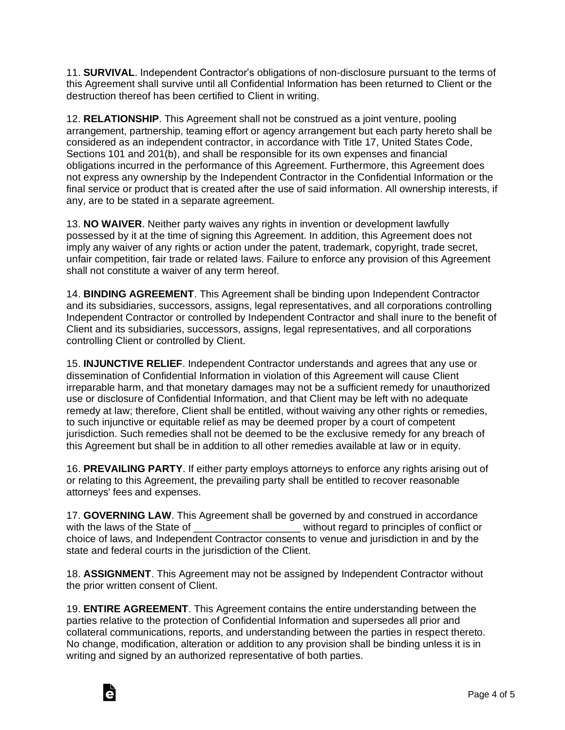11. **SURVIVAL**. Independent Contractor's obligations of non-disclosure pursuant to the terms of this Agreement shall survive until all Confidential Information has been returned to Client or the destruction thereof has been certified to Client in writing.

12. **RELATIONSHIP**. This Agreement shall not be construed as a joint venture, pooling arrangement, partnership, teaming effort or agency arrangement but each party hereto shall be considered as an independent contractor, in accordance with Title 17, United States Code, Sections 101 and 201(b), and shall be responsible for its own expenses and financial obligations incurred in the performance of this Agreement. Furthermore, this Agreement does not express any ownership by the Independent Contractor in the Confidential Information or the final service or product that is created after the use of said information. All ownership interests, if any, are to be stated in a separate agreement.

13. **NO WAIVER**. Neither party waives any rights in invention or development lawfully possessed by it at the time of signing this Agreement. In addition, this Agreement does not imply any waiver of any rights or action under the patent, trademark, copyright, trade secret, unfair competition, fair trade or related laws. Failure to enforce any provision of this Agreement shall not constitute a waiver of any term hereof.

14. **BINDING AGREEMENT**. This Agreement shall be binding upon Independent Contractor and its subsidiaries, successors, assigns, legal representatives, and all corporations controlling Independent Contractor or controlled by Independent Contractor and shall inure to the benefit of Client and its subsidiaries, successors, assigns, legal representatives, and all corporations controlling Client or controlled by Client.

15. **INJUNCTIVE RELIEF**. Independent Contractor understands and agrees that any use or dissemination of Confidential Information in violation of this Agreement will cause Client irreparable harm, and that monetary damages may not be a sufficient remedy for unauthorized use or disclosure of Confidential Information, and that Client may be left with no adequate remedy at law; therefore, Client shall be entitled, without waiving any other rights or remedies, to such injunctive or equitable relief as may be deemed proper by a court of competent jurisdiction. Such remedies shall not be deemed to be the exclusive remedy for any breach of this Agreement but shall be in addition to all other remedies available at law or in equity.

16. **PREVAILING PARTY**. If either party employs attorneys to enforce any rights arising out of or relating to this Agreement, the prevailing party shall be entitled to recover reasonable attorneys' fees and expenses.

17. **GOVERNING LAW**. This Agreement shall be governed by and construed in accordance with the laws of the State of **Exercise 1** without regard to principles of conflict or choice of laws, and Independent Contractor consents to venue and jurisdiction in and by the state and federal courts in the jurisdiction of the Client.

18. **ASSIGNMENT**. This Agreement may not be assigned by Independent Contractor without the prior written consent of Client.

19. **ENTIRE AGREEMENT**. This Agreement contains the entire understanding between the parties relative to the protection of Confidential Information and supersedes all prior and collateral communications, reports, and understanding between the parties in respect thereto. No change, modification, alteration or addition to any provision shall be binding unless it is in writing and signed by an authorized representative of both parties.